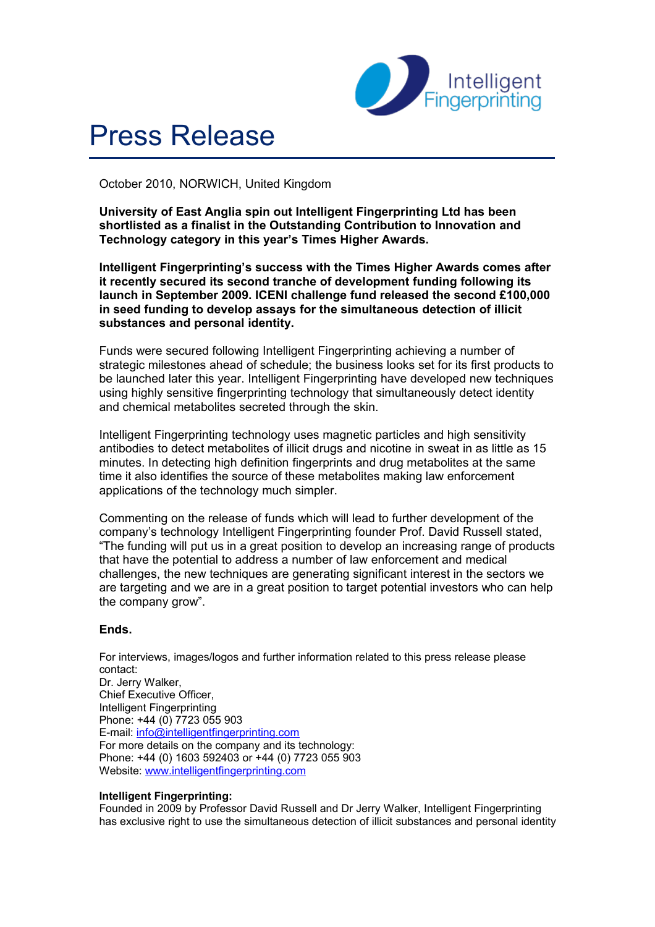

# Press Release

October 2010, NORWICH, United Kingdom

**University of East Anglia spin out Intelligent Fingerprinting Ltd has been shortlisted as a finalist in the Outstanding Contribution to Innovation and Technology category in this year's Times Higher Awards.**

**Intelligent Fingerprinting's success with the Times Higher Awards comes after it recently secured its second tranche of development funding following its launch in September 2009. ICENI challenge fund released the second £100,000 in seed funding to develop assays for the simultaneous detection of illicit substances and personal identity.**

Funds were secured following Intelligent Fingerprinting achieving a number of strategic milestones ahead of schedule; the business looks set for its first products to be launched later this year. Intelligent Fingerprinting have developed new techniques using highly sensitive fingerprinting technology that simultaneously detect identity and chemical metabolites secreted through the skin.

Intelligent Fingerprinting technology uses magnetic particles and high sensitivity antibodies to detect metabolites of illicit drugs and nicotine in sweat in as little as 15 minutes. In detecting high definition fingerprints and drug metabolites at the same time it also identifies the source of these metabolites making law enforcement applications of the technology much simpler.

Commenting on the release of funds which will lead to further development of the company's technology Intelligent Fingerprinting founder Prof. David Russell stated, "The funding will put us in a great position to develop an increasing range of products that have the potential to address a number of law enforcement and medical challenges, the new techniques are generating significant interest in the sectors we are targeting and we are in a great position to target potential investors who can help the company grow".

## **Ends.**

For interviews, images/logos and further information related to this press release please contact: Dr. Jerry Walker, Chief Executive Officer, Intelligent Fingerprinting Phone: +44 (0) 7723 055 903 E-mail: [info@intelligentfingerprinting.com](mailto:info@intelligentfingerprinting.com) For more details on the company and its technology: Phone: +44 (0) 1603 592403 or +44 (0) 7723 055 903 Website: [www.intelligentfingerprinting.com](http://www.intelligentfingerprinting.com/)

## **Intelligent Fingerprinting:**

Founded in 2009 by Professor David Russell and Dr Jerry Walker, Intelligent Fingerprinting has exclusive right to use the simultaneous detection of illicit substances and personal identity